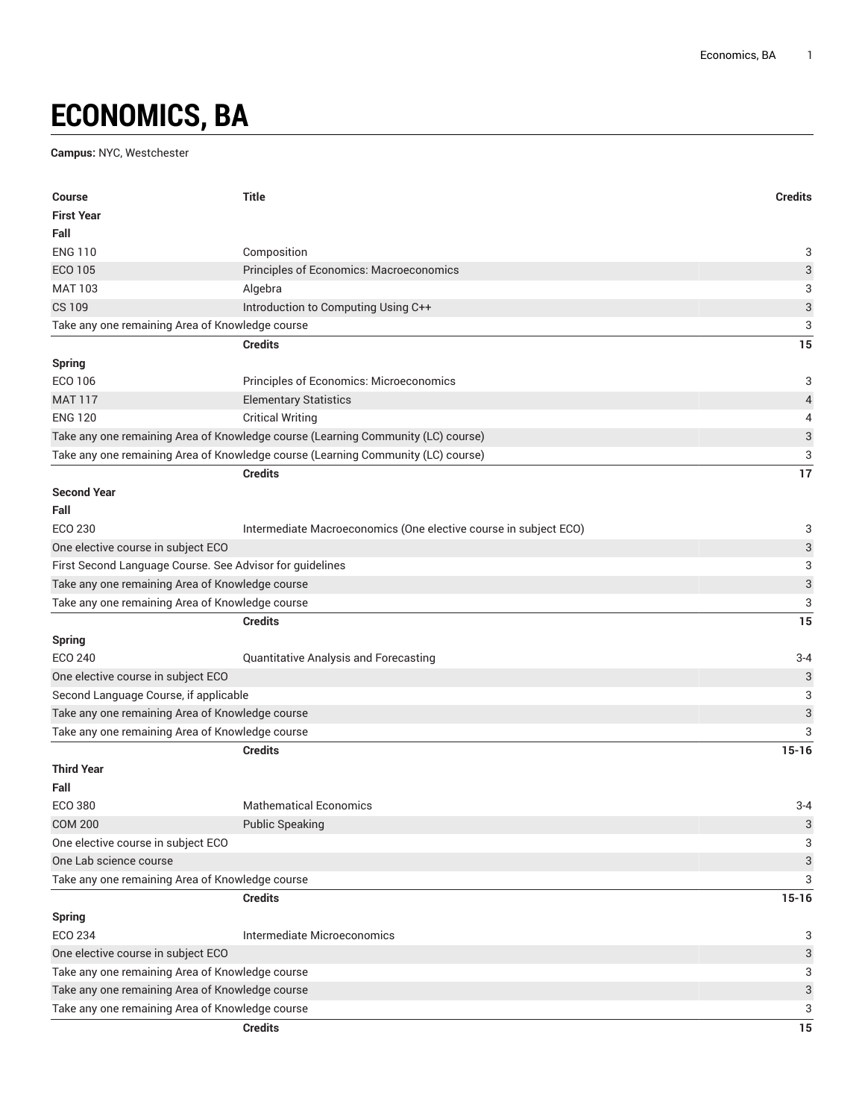## **ECONOMICS, BA**

## **Campus:** NYC, Westchester

| <b>Course</b>                                            | <b>Title</b>                                                                     | <b>Credits</b>            |
|----------------------------------------------------------|----------------------------------------------------------------------------------|---------------------------|
| <b>First Year</b>                                        |                                                                                  |                           |
| Fall                                                     |                                                                                  |                           |
| <b>ENG 110</b>                                           | Composition                                                                      | 3                         |
| <b>ECO 105</b>                                           | Principles of Economics: Macroeconomics                                          | 3                         |
| <b>MAT 103</b>                                           | Algebra                                                                          | 3                         |
| <b>CS 109</b>                                            | Introduction to Computing Using C++                                              | $\ensuremath{\mathsf{3}}$ |
| Take any one remaining Area of Knowledge course          |                                                                                  | 3                         |
|                                                          | <b>Credits</b>                                                                   | 15                        |
| <b>Spring</b>                                            |                                                                                  |                           |
| ECO 106                                                  | Principles of Economics: Microeconomics                                          | 3                         |
| <b>MAT 117</b>                                           | <b>Elementary Statistics</b>                                                     | 4                         |
| <b>ENG 120</b>                                           | <b>Critical Writing</b>                                                          | 4                         |
|                                                          | Take any one remaining Area of Knowledge course (Learning Community (LC) course) | $\ensuremath{\mathsf{3}}$ |
|                                                          | Take any one remaining Area of Knowledge course (Learning Community (LC) course) | 3                         |
|                                                          | <b>Credits</b>                                                                   | 17                        |
| <b>Second Year</b>                                       |                                                                                  |                           |
| Fall                                                     |                                                                                  |                           |
| ECO 230                                                  | Intermediate Macroeconomics (One elective course in subject ECO)                 | 3                         |
| One elective course in subject ECO                       |                                                                                  | 3                         |
| First Second Language Course. See Advisor for guidelines |                                                                                  | 3                         |
| Take any one remaining Area of Knowledge course          |                                                                                  | 3                         |
| Take any one remaining Area of Knowledge course          |                                                                                  | 3                         |
|                                                          | <b>Credits</b>                                                                   | 15                        |
| <b>Spring</b>                                            |                                                                                  |                           |
| <b>ECO 240</b>                                           | Quantitative Analysis and Forecasting                                            | $3 - 4$                   |
| One elective course in subject ECO                       |                                                                                  | 3                         |
| Second Language Course, if applicable                    |                                                                                  | 3                         |
| Take any one remaining Area of Knowledge course          |                                                                                  | 3                         |
| Take any one remaining Area of Knowledge course          |                                                                                  | 3                         |
|                                                          | <b>Credits</b>                                                                   | $15 - 16$                 |
| <b>Third Year</b>                                        |                                                                                  |                           |
| Fall                                                     |                                                                                  |                           |
| ECO 380                                                  | <b>Mathematical Economics</b>                                                    | $3 - 4$                   |
| <b>COM 200</b>                                           | <b>Public Speaking</b>                                                           | 3                         |
| One elective course in subject ECO                       |                                                                                  | 3                         |
| One Lab science course                                   |                                                                                  | 3                         |
| Take any one remaining Area of Knowledge course          |                                                                                  | 3                         |
|                                                          | <b>Credits</b>                                                                   | $15 - 16$                 |
| <b>Spring</b>                                            |                                                                                  |                           |
| ECO 234                                                  | Intermediate Microeconomics                                                      | 3                         |
| One elective course in subject ECO                       |                                                                                  | 3                         |
| Take any one remaining Area of Knowledge course          | 3                                                                                |                           |
| Take any one remaining Area of Knowledge course          |                                                                                  | 3                         |
| Take any one remaining Area of Knowledge course          |                                                                                  | 3                         |
|                                                          | <b>Credits</b>                                                                   | 15                        |